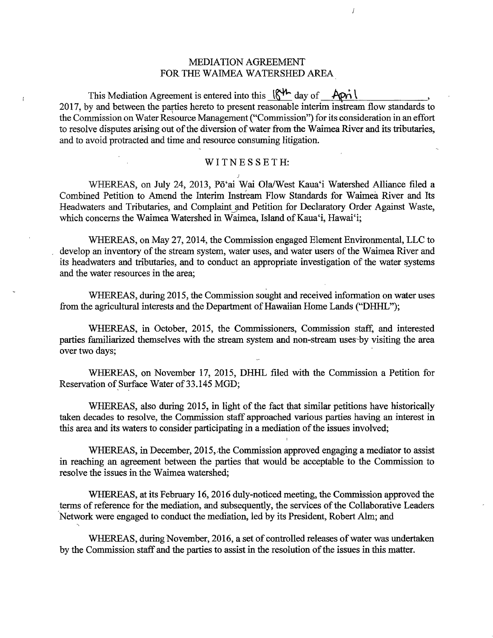# MEDIATION AGREEMENT FOR THE WAIMEA WATERSHED AREA

 $\overline{I}$ 

This Mediation Agreement is entered into this  $\frac{1}{N}$  day of  $\Delta \rho_1$ 2017, by and between the parties hereto to present reasonable interim instream flow standards to the Commission on Water Resource Management ("Commission") for its consideration in an effort to resolve disputes arising out of the diversion of water from the Waimea River and its tributaries, and to avoid protracted and time and resource consuming litigation.

ł

#### WITNES SETH:

WHEREAS, on July 24, 2013, Pō'ai Wai Ola/West Kaua'i Watershed Alliance filed a Combined Petition to Amend the Interim Instream Flow Standards for Waimea River and Its Headwaters and Tributaries, and Complaint and Petition for Declaratory Order Against Waste, which concerns the Waimea Watershed in Waimea, Island of Kaua'i, Hawai'i;

WHEREAS, on May 27, 2014, the Commission engaged Element Environmental, LLC to develop an inventory of the stream system, water uses, and water users of the Waimea River and its headwaters and tributaries, and to conduct an appropriate investigation of the water systems and the water resources in the area;

WHEREAS, during 2015, the Commission sought and received information on water uses from the agricultural interests and the Department of Hawaiian Home Lands ("DHHL");

WHEREAS, in October, 2015, the Commissioners, Commission staff, and interested parties familiarized themselves with the stream system and non-stream uses-by visiting the area over two days;

WHEREAS, on November 17, 2015, DHHL filed with the Commission a Petition for Reservation of Surface Water of 33.145 MGD;

WHEREAS, also during 2015, in light of the fact that similar petitions have historically taken decades to resolve, the Commission staff approached various parties having an interest in this area and its waters to consider participating in a mediation of the issues involved;

WHEREAS, in December, 2015, the Commission approved engaging a mediator to assist in reaching an agreement between the parties that would be acceptable 'to the Commission to resolve the issues in the Waimea watershed;

WHEREAS, at its February 16, 2016 duly-noticed meeting, the Commission approved the terms of reference for the mediation, and subsequently, the services of the Collaborative Leaders Network were engaged to conduct the mediation, led by its President, Robert Alm; and

WHEREAS, during November, 2016, a set of controlled releases of water was undertaken by the Commission staff and the parties to assist in the resolution of the issues in this matter.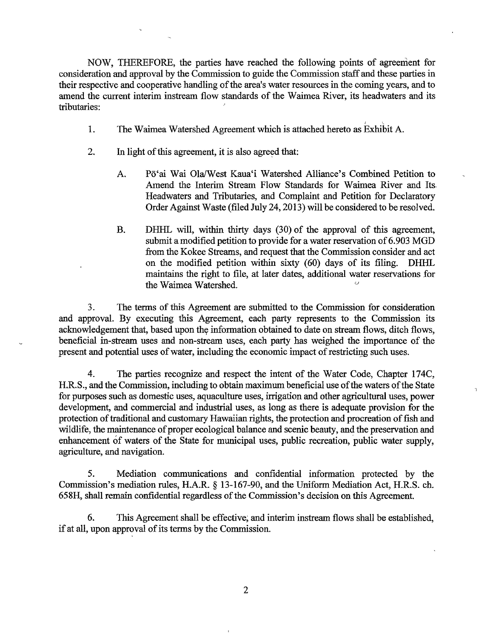NOW, THEREFORE, the parties have reached the following points of agreement for consideration and approval by the Commission to guide the Commission staff and these parties in their respective and cooperative handling of the area's water resources in the coming years, and to amend the current interim instream flow standards of the Waimea River, its headwaters and its tributaries:

- 1. The Waimea Watershed Agreement which is attached hereto as Exhibit A.
- 2. In light of this agreement, it is also agreed that:
	- A. Pō'ai Wai Ola/West Kaua'i Watershed Alliance's Combined Petition to Amend the Interim Stream Flow Standards for Waimea River and Its. Headwaters and Tributaries, and Complaint and Petition for Declaratory Order Against Waste (filed July 24, 2013) will be considered to be resolved.
	- B. DHHL will, within thirty days (30) of the approval of this agreement, submit a modified petition to provide for a water reservation of 6.903 MGD from the Kokee Streams, and request that the Commission consider and act on the modified petition within sixty (60) days of its filing. DHHL maintains the right to file, at later dates, additional water reservations for the Waimea Watershed.

 $\mathbf{r}$ 

3. The terms of this Agreement are submitted to the Commission for consideration and approval. By executing this Agreement, each party represents to the Commission its acknowledgement that, based upon the information obtained to date on stream flows, ditch flows, beneficial in-stream uses and non-stream uses, each party has weighed the importance of the present and potential uses of water, including the economic impact of restricting such uses.

4. The parties recognize and respect the intent of the Water Code, Chapter 174C, H.R.S., and the Commission, including to obtain maximum beneficial use of the waters of the State for purposes such as domestic uses, aquaculture uses, irrigation and other agricultural uses, power development, and commercial and industrial uses, as long as there is adequate provision for the protection of traditional and customary Hawaiian rights, the protection and procreation of fish and wildlife, the maintenance of proper ecological balance and scenic beauty, and the preservation and enhancement of waters of the State for municipal uses, public recreation, public water supply, agriculture, and navigation.

5. Mediation communications and confidential information protected by the Commission's mediation rules, H.A.R. § 13-167-90, and the Uniform Mediation Act, H.R.S. ch. 658H, shall remain confidential regardless of the Commission's decision on this Agreement.

6. This Agreement shall be effective; and interim instream flows shall be established, if at all, upon approval of its terms by the Commission.

2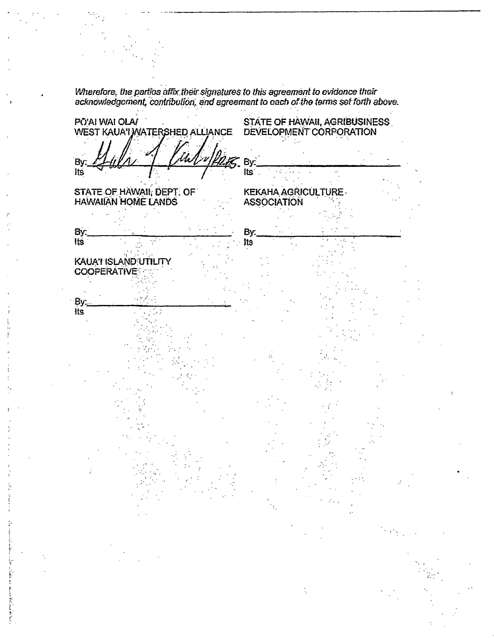.<br>Wherefore, the parties affix their signatures to this agreement to evidence their acknowledgcriient, contribution, and agreement to each of the terms set forth above. STATE OF HAWAII, AGRIBUSINESS PÔ'AI WAI OLA/ WEST KAUA'I WATERSHED ALLIANCE DEVELOPMENT CORPORATION B۱ -~~:bbl~~+--~~....t:......µ~~·~Bi\_· ~~~------------~-  $its'$ Its STATE-OF\_HAWAII; DEPT. OF KEKAHA AGRICULTURE- HAWAIIAN HOME LANDS ASSOCIATION  $\mathsf{B}_\mathsf{u}^\mathsf{L}$ r: $\mathsf{B}_\mathsf{u}^\mathsf{L}$ r: $\mathsf{B}_\mathsf{u}^\mathsf{L}$ r: $\mathsf{B}_\mathsf{u}^\mathsf{L}$ r: $\mathsf{B}_\mathsf{u}^\mathsf{L}$ By: \_\_\_\_\_\_\_\_ --..--.-----  $\overline{\phantom{a}}$ . Its Its. rg€ KAUA'I ISLAND UTILITY **COOPERATIVE** By:  $\cdot$  -  $\cdot$  :  $\overline{\text{its}}$  $\cdot$   $\cdot$   $\cdot$   $\cdot$  $\frac{1}{2}$ .  $\mathbb{R}^3$  . . .  $\mathbb{R}^2 \times \mathbb{R}^2$ " . -  $\frac{1}{2}$  . - ;' '  $\frac{1}{2}$ ,  $\frac{1}{2}$  $\cdot$  . ',-  $\cdot$  '  $\cdot$  -  $\cdot$ 

 $\sum_{i=1}^N$ I

(-'· ~ f.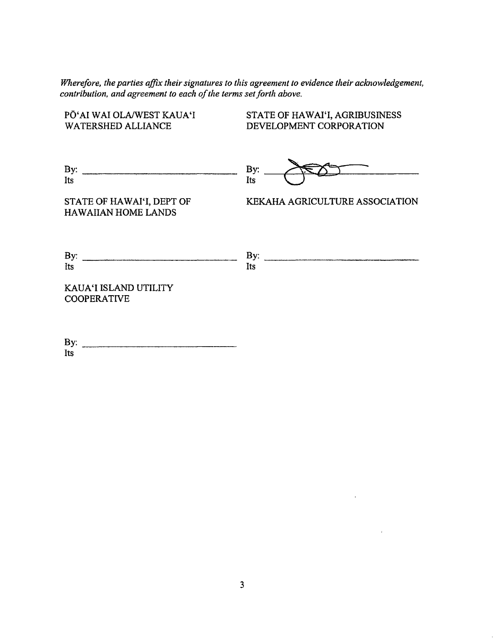*Wherefore, the parties affix their signatures to this agreement to evidence their acknowledgement, contribution, and agreement to each of the terms set forth above.* 

PŌ'AI WAI OLA/WEST KAUA'I WATERSHED ALLIANCE By:  $\frac{By:}{Its}$ STATE OF HAWAI'I, DEPT OF HAWAIIAN HOME LANDS  $\begin{array}{c}\n\text{By:}\n\quad & \text{By:}\n\quad & \text{By:}\n\quad & \text{Its}\n\end{array}$ KAUA'I ISLAND UTILITY **COOPERATIVE** STATE OF HAWAI'I, AGRIBUSINESS DEVELOPMENT CORPORATION KEKAHA AGRICULTURE ASSOCIATION

By:  $\frac{1}{1}$  Its

 $\mathbf{r}$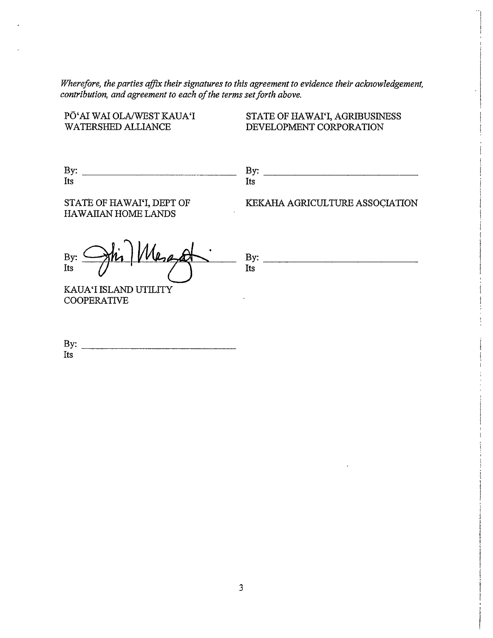*Wherefore, the parties affix their signatures to this agreement to evidence their acknowledgement, contribution, and agreement to each of the terms set forth above.* 

PO'AI WAI OLA/WEST KAUA'I WATERSHED ALLIANCE

STATE OF HAWAI'I, AGRIBUSINESS DEVELOPMENT CORPORATION

| $\sim$<br><u>، ب</u> | - |
|----------------------|---|
| ---                  |   |

STATE OF HAWAI'I, DEPT OF HAWAIIAN HOME LANDS

KEKAHA AGRICULTURE ASSOCIATION

Its  $By:$   $\bigoplus_{h\in\mathbb{N}}W$ KAUA'I ISLAND UTILITY COOPERATIVE By:~~~~~~~~~~~ Its

| B <sub>1</sub><br><br>,, |  |  |  |
|--------------------------|--|--|--|
| T<br>Tra                 |  |  |  |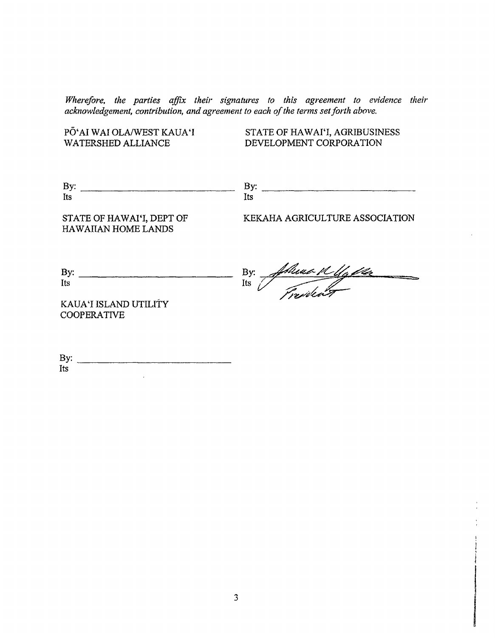*Wherefore, the parties affix their signatures to this agreement to evidence their acknowledgement, contribution, and agreement to each of the terms set forth above.* 

PO'AI WAI OLNWEST KAUA 'I

WATERSHED ALLIANCE DEVELOPMENT CORPORATION STATE OF HAWAI'I, AGRIBUSINESS

| -<br>. .<br>້                          | .<br><b>.</b> |  |
|----------------------------------------|---------------|--|
| $\overline{\phantom{a}}$<br><b>lts</b> |               |  |

STATE OF HAWAI'I, DEPT OF HAWAIIAN HOME LANDS

KEKAHA AGRICULTURE ASSOCIATION

| By: |  |
|-----|--|
| Its |  |

By: Ashuar Kelly da

! I i

I

KAUA 'I ISLAND UTILITY COOPERATIVE

By: ~~~~~~~~~~~~~ Its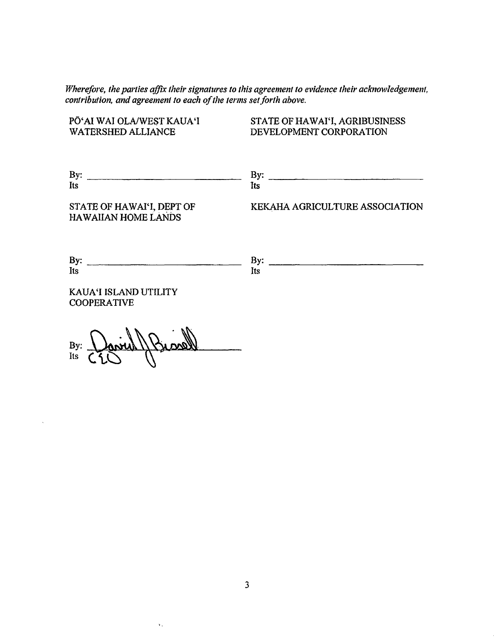*Wherefore, the parties affix their signatures to this agreement to evidence their acknowledgement, contribution, and agreement to each of the terms set forth above.* 

PO'AI WAI OLNWESTKAUA'I WATERSHED ALLIANCE  $By:$  By:  $\frac{By:}{\sim}$ Its STATE OF HAWAI'I, DEPT OF HAWAIIAN HOME LANDS  $\mathbf{B}$ y:  $\frac{1}{2}$ Its KAUA'I ISLAND UTILITY COOPERATIVE  $B_y: \frac{1}{60}$  or  $\frac{1}{16}$  (  $\frac{1}{3}$  ) STATE OF HAWAI'I, AGRIBUSINESS DEVELOPMENT CORPORATION Its KEKAHA AGRICULTURE ASSOCIATION By: ~~~~~~~~~~~~~ Its

3

'·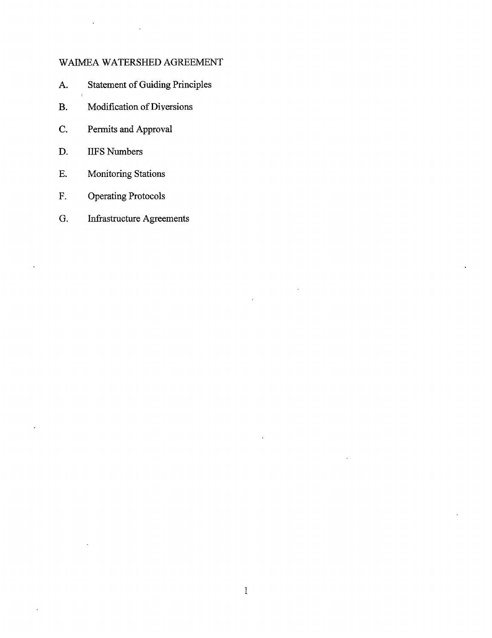# WAIMEA WATERSHED AGREEMENT

- A. Statement of Guiding Principles
- B. Modification of Diversions
- C. Permits and Approval
- D. IIFS Numbers
- E. Monitoring Stations
- F. Operating Protocols
- G. Infrastructure Agreements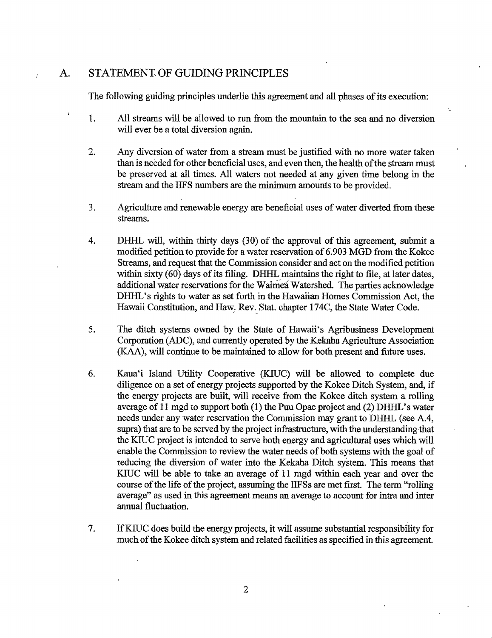# A. STATEMENT OF GUIDING PRINCIPLES

 $\mathcal{L}$ 

The following guiding principles underlie this agreement and all phases of its execution:

- 1. All streams will be allowed to run from the mountain to the sea and no diversion will ever be a total diversion again.
- 2. Any diversion of water from a stream must be justified with no more water taken than is needed for other beneficial uses, and even then, the health of the stream must be preserved at all times. All waters not needed at any given time belong in the stream and the IIFS numbers are the minimum amounts to be provided.
- 3. Agriculture and renewable energy are beneficial uses of water diverted from these streams.
- 4. DHHL will, within thirty days (30) of the approval of this agreement, submit a modified petition to provide for a water reservation of 6.903 MGD from the Kokee Streams, and request that the Commission consider and act on the modified petition within sixty (60) days of its filing. DHHL maintains the right to file, at later dates, additional water reservations for the Waimea Watershed. The parties acknowledge DHHL's rights to water as set forth in the Hawaiian Homes Commission Act, the Hawaii Constitution, and Haw. Rev. Stat. chapter 174C, the State Water Code.
- 5. The ditch systems owned by the State of Hawaii's Agribusiness Development Corporation (ADC), and currently operated by the Kekaha Agriculture Association (KAA), will continue to be maintained to allow for both present and future uses.
- 6. Kaua'i Island Utility Cooperative (KIUC) will be allowed to complete due diligence on a set of energy projects supported by the Kokee Ditch System, and, if the energy projects are built, will receive from the Kokee ditch system a rolling average of 11 mgd to support both (1) the Puu Opae project and (2) DHHL's water needs under any water reservation the Commission may grant to DHHL (see A.4, supra) that are to be served by the project infrastructure, with the understanding that the KIUC project is intended to serve both energy and agricultural uses which will enable the Commission to review the water needs of both systems with the goal of reducing the diversion of water into the Kekaha Ditch system. This means that KIUC will be able to take an average of 11 mgd within each year and over the course of the life of the project, assuming the IIFSs are met first. The term ''rolling average" as used in this agreement means an average to account for intra and inter annual fluctuation.
- 7. If KIUC does build the energy projects, it will assume substantial responsibility for much of the Kokee ditch system and related facilities as specified in this agreement.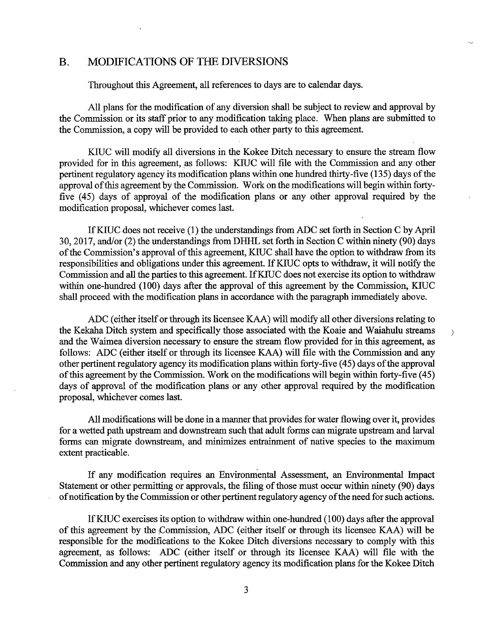### B. MODIFICATIONS OF THE DIVERSIONS

Throughout this Agreement, all references to days are to calendar days.

All plans for the modification of any diversion shall be subject to review and approval by the Commission or its staff prior to any modification taking place. When plans are submitted to the Commission, a copy will be provided to each other party to this agreement.

KIUC will modify all diversions in the Kokee Ditch necessary to ensure the stream flow provided for in this agreement, as follows: KIUC will file with the Commission and any other pertinent regulatory agency its modification plans within one hundred thirty-five (135) days of the approval of this agreement by the Commission. Work on the modifications will begin within fortyfive ( 45) days of approyal of the modification plans or any other approval required by the modification proposal, whichever comes last.

IfKIUC.does not receive (1) the understandings from ADC set forth in Section C by April 30, 2017, and/or (2) the understandings from DHHL set forth in Section C within ninety (90) days of the Commission's approval of this agreement, KIUC shall have the option to withdraw from its responsibilities and obligations under this agreement. If KIUC opts to withdraw, it will notify the Commission and all the parties to this agreement. If KIUC does not exercise its option to withdraw within one-hundred (100) days after the approval of this agreement by the Commission, KIUC shall proceed with the modification plans in accordance with the paragraph immediately above.

ADC (either itself or through its licensee KAA) will modify all other diversions relating to the Kekaha Ditch system and specifically those associated with the Koaie and Waiahulu streams and the Waimea diversion necessary to ensure the stream flow provided for in this agreement, as follows: ADC (either itself or through its licensee KAA) will file with the Commission and any other pertinent regulatory agency its modification plans within forty-five ( 45) days of the approval of this agreement by the Commission. Work on the modifications will begin within forty-five (45) days of approval of the modification plans or any other approval required by the modification proposal, whichever comes last.

 $\left( \right)$ 

All modifications will be done in a manner that provides for water flowing over it, provides for a wetted path upstream and downstream such that adult forms can migrate upstream and larval forms can migrate downstream, and minimizes entrainment of native species to the maximum extent practicable.

If any modification requires an Environmental Assessment, an Environmental Impact Statement or other permitting or approvals, the filing of those must occur within ninety (90) days of notification by the Commission or other pertinent regulatory agency of the need for such actions.

If KIUC exercises its option to withdraw within one-hundred (100) days after the approval of this agreement by the ,Commission, ADC (either itself or through its licensee KAA) will be responsible for the modifications to the Kokee Ditch diversions necessary to comply with this agreement, as follows: ADC (either itself or through its licensee KAA) will file with the Commission and any other pertinent regulatory agency its modification plans for the Kokee Ditch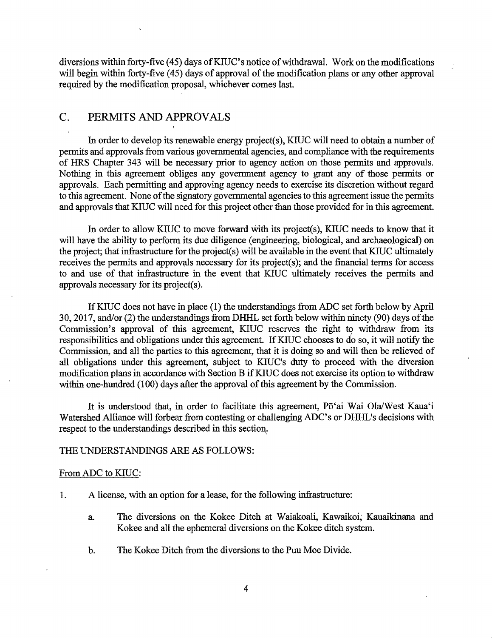diversions within forty-five (45) days of KIUC's notice of withdrawal. Work on the modifications will begin within forty-five (45) days of approval of the modification plans or any other approval required by the modification proposal, whichever comes last.

# C. PERMITS AND APPROVALS

In order to develop its renewable energy project(s), KIUC will need to obtain a number of permits and approvals from various governmental agencies, and compliance with the requirements of HRS Chapter 343 will be necessary prior to agency action on those permits and approvals. Nothing in this agreement obliges any government agency to grant any of those permits or approvals. Each permitting and approving agency needs to exercise its discretion without regard to this agreement. None of the signatory governmental agencies to this agreement issue the permits and approvals that KIUC will need for this project other than those provided for in this agreement.

In order to allow KIUC to move forward with its project(s), KIUC needs to know that it will have the ability to perform its due diligence (engineering, biological, and archaeological) on the project; that infrastructure for the project(s) will be available in the event that KIUC ultimately receives the permits and approvals necessary for its project(s); and the financial terms for access to and use of that infrastructure in the event that KIUC ultimately receives the permits and approvals necessary for its project(s).

IfKIUC does not have in place (I) the understandings from ADC set forth below by April 30, 2017, and/or (2) the understandings from DHHL set forth below within ninety (90) days of the Commission's approval of this agreement, KIUC reserves the right to withdraw from its ( responsibilities and obligations under this agreement. If KIUC chooses to do so, it will notify the Commission, and all the parties to this agreement, that it is doing so and will then be relieved of all obligations under this agreement, subject to KIUC's duty fo proceed with the diversion modification plans in accordance with Section B if KIUC does not exercise its option to withdraw within one-hundred (100) days after the approval of this agreement by the Commission.

It is understood that, in order to facilitate this agreement, Pō'ai Wai Ola/West Kaua'i Watershed Alliance will forbear from contesting or challenging ADC's or DHHL's decisions with respect to the understandings described in this section.

## THE UNDERSTANDINGS ARE AS FOLLOWS:

### From ADC to KIUC:

- I. A license, with an option for a lease, for the following infrastructure:
	- a. The diversions on the Kokee Ditch at Waiakoali, Kawaikoi; Kauaikinana and Kokee and all the ephemeral diversions on the Kokee ditch system.
	- b. The Kokee Ditch from the diversions to the Puu Moe Divide.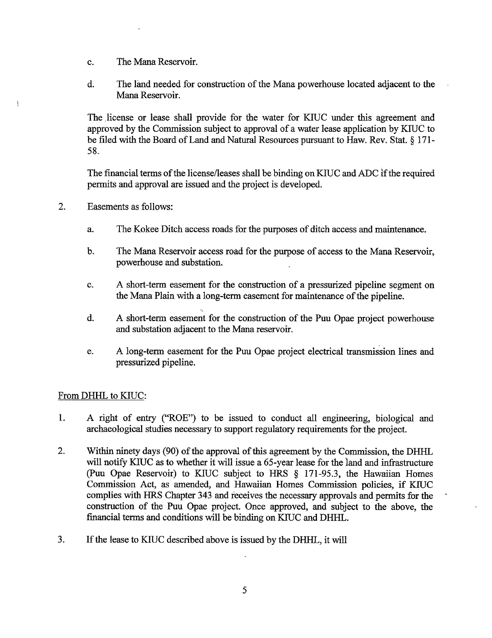- c. The Mana Reservoir.
- d. The land needed for construction of the Mana powerhouse located adjacent to the Mana Reservoir.

The license or lease shall provide for the water for KIUC under this agreement and approved by the Commission subject to approval of a water lease application by KIUC to be filed with the Board of Land and Natural Resources pursuant to Haw. Rev. Stat. § 171- 58.

The financial terms of the license/leases shall be binding on KIUC and ADC if the required permits and approval are issued and the project is developed.

2. Easements as follows:

 $\mathfrak{h}$ 

- a. The Kokee Ditch access roads for the purposes of ditch access and maintenance.
- b. The Mana Reservoir access road for the purpose of access to the Mana Reservoir, powerhouse and substation.
- c. A short-term easement for the construction of a pressurized pipeline segment on the Mana Plain with a long-term easement for maintenance of the pipeline.
- -, d. A short-term easement for the construction of the Puu Opae project powerhouse and substation adjacent to the Mana reservoir.
- e. A long-term easement for the Puu Opae project electrical transmission lines and pressurized pipeline.

# From DHHL to KIUC:

- 1. A right of entry ("ROE") to be issued to conduct all engineering, biological and archaeological studies necessary to support regulatory requirements for the project.
- 2. Within ninety days (90) of the approval of this agreement by the Commission, the DHHL will notify KIUC as to whether it will issue a 65-year lease for the land and infrastructure (Puu Opae Reservoir) to KIUC subject to HRS § 171-95.3, the Hawaiian Homes Commission Act, as amended, and Hawaiian Homes Commission policies, if KIUC complies with HRS Chapter 343 and receives the necessary approvals and permits for the construction of the Puu Opae project. Once approved, and subject to the above, the financial terms and conditions will be binding on KIUC and DHHL.
- 3. If the lease to KIUC described above is issued by the DHHL, it will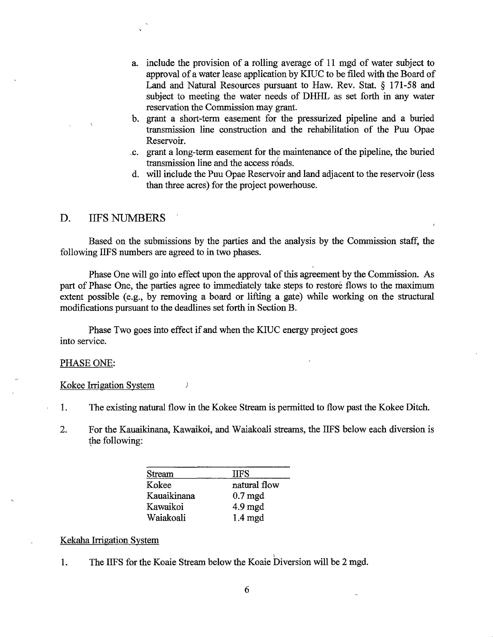- a. include the provision of a rolling average of 11 mgd of water subject to approval of a water lease application by KIUC to be filed with the Board of Land and Natural Resources pursuant to Haw. Rev. Stat. § 171-58 and subject to meeting the water needs of DHHL as set forth in any water reservation the Commission may grant.
- b. grant a short-term easement for the pressurized pipeline and a buried transmission line construction and the rehabilitation of the Puu Opae Reservoir.
- . 1;. grant a long-term easement for the maintenance of the pipeline, the buried transmission line and the access roads.
- d. will include the Puu Opae Reservoir and land adjacent to the reservoir (less than three acres) for the project powerhouse.

## D. IIFS NUMBERS

Based on the submissions by the parties and the analysis by the Commission staff, the following IIFS numbers are agreed to in two phases.

Phase One will go into effect upon the approval of this agreement by the Commission. As part of Phase One, the parties agree to immediately take steps to restore flows to the maximum extent possible (e.g., by removing a board or lifting a gate) while working on the structural modifications pursuant to the deadlines set forth in Section B.

Phase Two goes into effect if and when the KIUC energy project goes into service.

 $\left\langle \right\rangle$ 

#### PHASE ONE:

Kokee Irrigation System

- 1. The existing natural flow in the Kokee Stream is permitted to flow past the Kokee Ditch.
- 2. For the Kauaikinana, Kawaikoi, and Waiakoali streams, the IIFS below each diversion is the following:

| Stream      | HFS                  |
|-------------|----------------------|
| Kokee       | natural flow         |
| Kauaikinana | $0.7 \,\mathrm{mgd}$ |
| Kawaikoi    | $4.9 \text{ mgd}$    |
| Waiakoali   | $1.4 \text{ mgd}$    |

#### Kekaha Irrigation System

1. The IIFS for the Koaie Stream below the Koaie Diversion will be 2 mgd.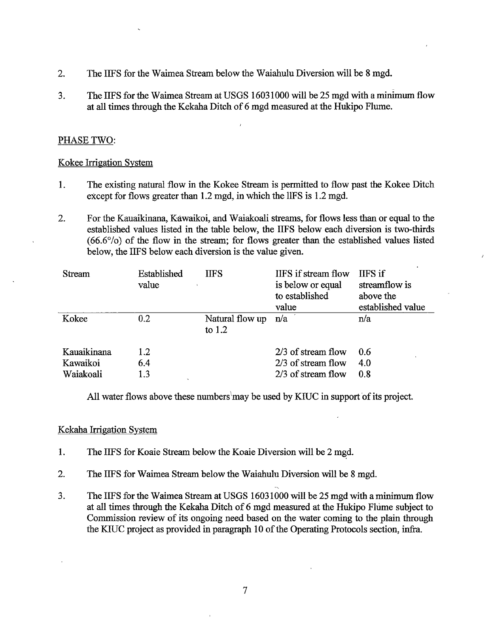- 2. The IIFS for the Waimea Stream below the Waiahulu Diversion will be 8 mgd.
- 3. The IIFS for the Waimea Stream at USGS 16031000 will be 25 mgd with a minimum flow at all times through the Kekaha Ditch of 6 mgd measured at the Hukipo Flume.

# PHASE TWO:

## Kokee Irrigation System

- 1. The existing natural flow in the Kokee Stream is permitted to flow past the Kokee Ditch except for flows greater than 1.2 mgd, in which the llFS is 1.2 mgd.
- 2. For the Kauaikinana, Kawaikoi, and Waiakoali streams, for flows less than or equal to the established values listed in the table below, the IIFS below each diversion is two-thirds (66.6°/o) of the flow in the stream; for flows greater than the established values listed below, the IIFS below each diversion is the value given.

| Stream                               | Established<br>value | <b>IIFS</b>                 | IIFS if stream flow<br>is below or equal<br>to established<br>value | IIFS if<br>streamflow is<br>above the<br>established value |
|--------------------------------------|----------------------|-----------------------------|---------------------------------------------------------------------|------------------------------------------------------------|
| Kokee                                | 0.2                  | Natural flow up<br>to $1.2$ | n/a                                                                 | n/a                                                        |
| Kauaikinana<br>Kawaikoi<br>Waiakoali | 1.2<br>6.4<br>1.3    |                             | $2/3$ of stream flow<br>$2/3$ of stream flow<br>2/3 of stream flow  | 0.6<br>4.0<br>0.8                                          |

All water flows above these numbers may be used by KIUC in support of its project.

## Kekaha Irrigation System

- 1. The IIFS for Koaie Stream below the Koaie Diversion will be 2 mgd.
- 2. The IIFS for Waimea Stream below the Waiahulu Diversion will be 8 mgd.
- 3. The IIFS for the Waimea Stream at USGS 16031000 will be 25 mgd with a minimum flow at all times through the Kekaha Ditch of 6 mgd measured at the Hukipo Flume subject to Commission review of its ongoing need based on the water coming to the plain through the KIUC project as provided in paragraph 10 of the Operating Protocols section, infra.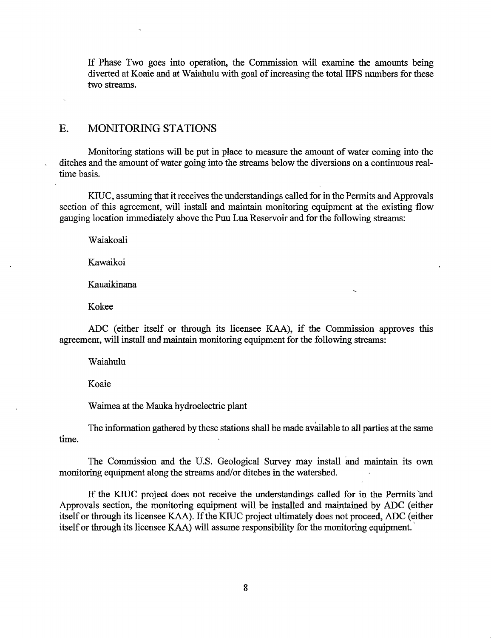If Phase Two goes into operation, the Commission will examine the amounts being diverted at Koaie and at Waiahulu with goal of increasing the total IIFS numbers for these two streams.

## E. MONITORING STATIONS

 $\mathbf{v}_1$ 

Monitoring stations will be put in place to measure the amount of water coming into the ditches and the amount of water going into the streams below the diversions on a continuous realtime basis.

KIUC, assuming that it receives the understandings called for in the Permits and Approvals section of this agreement, will install and maintain monitoring equipment at the existing flow gauging location immediately above the Puu Lua Reservoir and for the following streams:

Waiakoali

Kawaikoi

Kauaikinana

Kokee

ADC (either itself or through its licensee KAA), if the Commission approves this agreement, will install and maintain monitoring equipment for the following streams:

Waiahulu

Koaie

Waimea at the Mauka hydroelectric plant

The information gathered by these stations shall be made available to all parties at the same time.

The Commission and the U.S. Geological Survey may install and maintain its own monitoring equipment along the streams and/or ditches in the watershed.

If the KIUC project does not receive the understandings called for in the Permits and Approvals section, the monitoring equipment will be installed and maintained by ADC (either itself or through its licensee KAA). If the KIUC project ultimately does not proceed, ADC (either itself or through its licensee KAA) will assume responsibility for the monitoring equipment.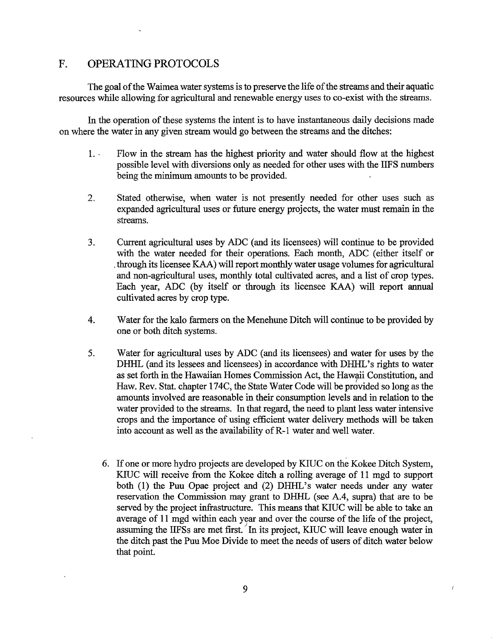# F. OPERATING PROTOCOLS

The goal of the Waimea water systems is to preserve the life of the streams and their aquatic resources while allowing for agricultural and renewable energy uses to co-exist with the streams.

In the operation of these systems the intent is to have instantaneous daily decisions made on where the water in any given stream would go between the streams and the ditches:

- 1. Flow in the stream has the highest priority and water should flow at the highest possible level with diversions only as needed for other uses with the IIFS numbers being the minimum amounts to be provided.
- 2. Stated otherwise, when water is not presently needed for other uses such as expanded agricultural uses or future energy projects, the water must remain in the streams.
- 3. Current agricultural uses by ADC (and its licensees) will continue to be provided with the water needed for their operations. Each month, ADC (either itself or . through its licensee KAA) will report monthly water usage volumes for agricultural and non-agricultural uses, monthly total cultivated acres, and a list of crop types. Each year, ADC (by itself or through its licensee KAA) will report annual cultivated acres by crop type.
- 4. Water for the kalo farmers on the Menehune Ditch will continue to be provided by one or both ditch systems.
- 5. Water for agricultural uses by ADC (and its licensees) and water for uses by the DHHL (and its lessees and licensees) in accordance with DHHL's rights to water as set forth in the Hawaiian Homes Commission Act, the Hawaii Constitution, and Haw. Rev. Stat. chapter l 74C, the State Water Code will be provided so long as the amounts involved are reasonable in their consumption levels and in relation to the water provided to the streams. In that regard, the need to plant less water intensive crops and the importance of using efficient water delivery methods will be taken into account as well as the availability of R-1 water and well water.
	- 6. If one or more hydro projects are developed by KIUC on the Kokee Ditch System, KJUC will receive from the Kokee ditch a rolling average of 11 mgd to support both (1) the Puu Opae project and (2) DHHL's water needs under any water reservation the Commission may grant to DHHL (see A.4, supra) that are to be served by the project infrastructure. This means that KJUC will be able to take an average of 11 mgd within each year and over the course of the life of the project, assuming the IIFSs are met first. In its project, KIUC will leave enough water in the ditch past the Puu Moe Divide to meet the needs of users of ditch water below that point.

 $\overline{1}$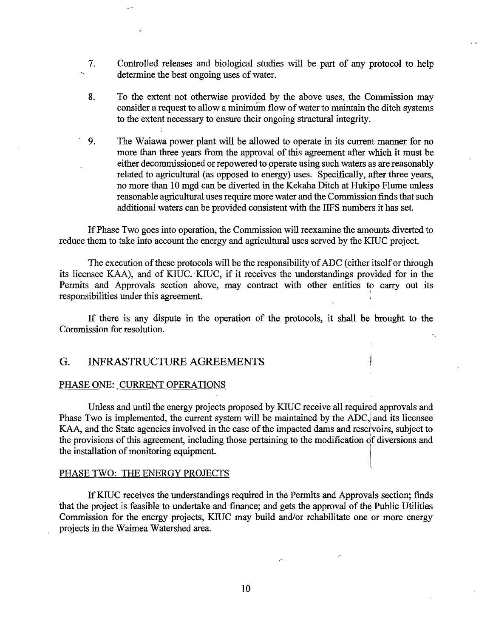- 7. Controlled releases and biological studies will be part of any protocol to help determine the best ongoing uses of water.
- 8. To the extent not otherwise provided by the above uses, the Commission may consider a request to allow a minimum flow of water to maintain the ditch systems to the extent necessary to ensure their ongoing structural integrity.
- 9. The Waiawa power plant will be allowed to operate in its current manner for no more than three years from the approval of this agreement after which it must be either decommissioned or repowered to operate using such waters as are reasonably related to agricultural (as opposed to energy) uses. Specifically, after three years, no more than 10 mgd can be diverted in the Kekaha Ditch at Hukipo Flume unless reasonable agricultural uses require more water and the Commission finds that such additional waters can be provided consistent with the IIFS numbers it has set.

If Phase Two goes into operation, the Commission will reexamine the amounts diverted to reduce them to take into account the energy and agricultural uses served by the KIUC project.

The execution of these protocols will be the responsibility of ADC (either itself or through its licensee KAA), and of KIUC. KIUC, if it receives the understandings provided for in the Permits and Approvals section above, may contract with other entities to carry out its responsibilities under this agreement.

If there is any dispute in the operation of the protocols, it shall be brought to the Commission for resolution.

# G. INFRASTRUCTURE AGREEMENTS

#### PHASE ONE: CURRENT OPERATIONS

Unless and until the energy projects proposed by KIUC receive all required approvals and Phase Two is implemented, the current system will be maintained by the ADC, and its licensee KAA, and the State agencies involved in the case of the impacted dams and reservoirs, subject to the provisions of this agreement, including those pertaining to the modification of diversions and the installation of monitoring equipment.

#### PHASE TWO: THE ENERGY PROJECTS

If KIUC receives the understandings required in the Permits and Approvals section; finds that the project is feasible to undertake and finance; and gets the approval of the Public Utilities Commission for the energy projects, KIUC may build and/or rehabilitate one or more energy projects in the Waimea Watershed area.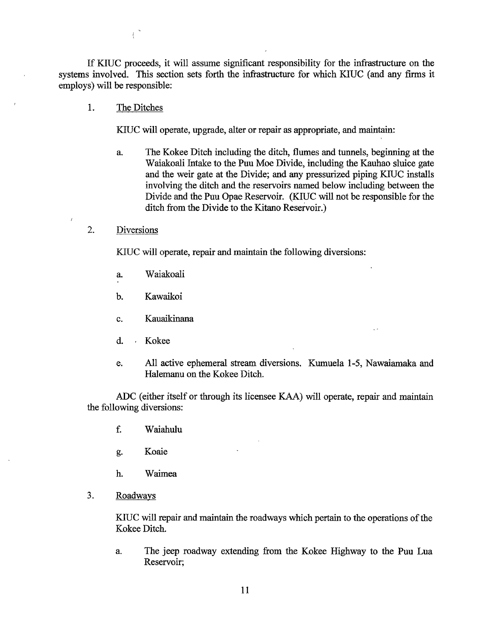If KIUC proceeds, it will assume significant responsibility for the infrastructure on the systems involved. This section sets forth the infrastructure for which KIUC (and any firms it employs) will be responsible:

1. The Ditches

 $\overline{C}$ 

KIUC will operate, upgrade, alter or repair as appropriate, and maintain:

- a. The Kokee Ditch including the ditch, flumes and tunnels, beginning at the W aiakoali Intake to the Puu Moe Divide, including the Kauhao sluice gate and the weir gate at the Divide; and any pressurized piping KIUC installs involving the ditch and the reservoirs named below including between the Divide and the Puu Opae Reservoir. (KIUC will not be responsible for the ditch from the Divide to the Kitano Reservoir.)
- 2. Diversions

KIUC will operate, repair and maintain the following diversions:

- a. Waiakoali
- b. Kawaikoi
- c. Kauaikinana
- d. Kokee
- e. All active ephemeral stream diversions. Kumuela 1-5, Nawaiamaka and Halemanu on the Kokee Ditch.

ADC (either itself or through its licensee KAA) will operate, repair and maintain the following diversions:

- f. Waiahulu
- g. Koaie
- h. Waimea
- 3. Roadways

KIUC will repair and maintain the roadways which pertain to the operations of the Kokee Ditch.

a. The jeep roadway extending from the Kokee Highway to the Puu Lua Reservoir;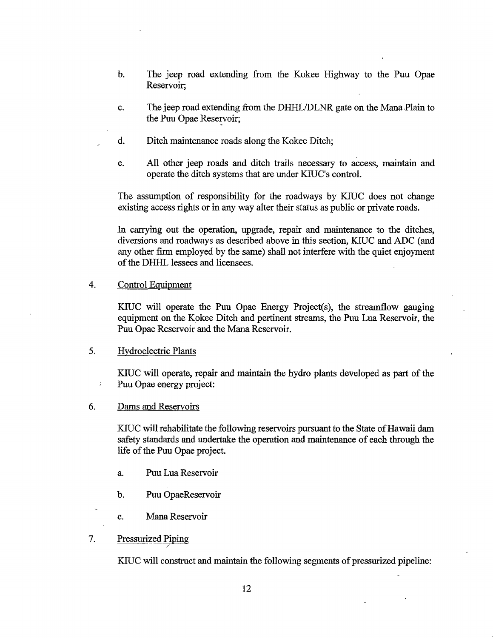- b. The jeep road extending from the Kokee Highway to the Puu Opae Reservoir;
- c. The jeep road extending from the DHHL/DLNR gate on the Mana,Plain to the Puu Opae Reservoir;
- d. Ditch maintenance roads along the Kokee Ditch;
- e. All other jeep roads and ditch trails necessary to access, maintain and operate the ditch systems that are under KIUC's control.

The assumption of responsibility for the roadways by KIUC does not change existing access rights or in any way alter their status as public or private roads.

In carrying out the operation, upgrade, repair and maintenance to the ditches, diversions and roadways as described above in this section, KIUC and ADC (and any other firm employed by the same) shall not interfere with the quiet enjoyment of the DHHL lessees and licensees.

4. Control Equipment

KIUC will operate the Puu Opae Energy Project(s), the streamflow gauging equipment on the Kokee Ditch and pertinent streams, the Puu Lua Reservoir, the Puu Opae Reservoir and the Mana Reservoir.

### 5. Hydroelectric Plants

KIUC will operate, repair and maintain the hydro plants developed as part of the Puu Opae energy project:

#### 6. Dams and Reservoirs

 $\lambda$ 

KIUC will rehabilitate the following reservoirs pursuant to the State of Hawaii dam safety standards and undertake the operation and maintenance of each through the life of the Puu Opae project.

- a. Puu Lua Reservoir
- b. Puu OpaeReservoir
- c. Mana Reservoir
- 7. Pressurized Piping /

KIUC will construct and maintain the following segments of pressurized pipeline: